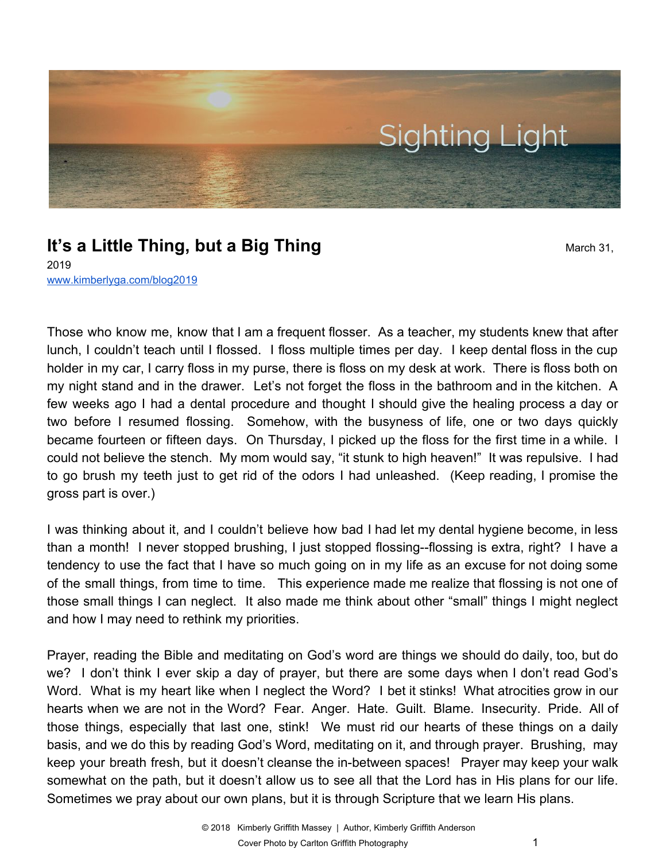

# **It's a Little Thing, but a Big Thing** March 31,

2019 [www.kimberlyga.com/blog2019](http://www.kimberlyga.com/blog)

Those who know me, know that I am a frequent flosser. As a teacher, my students knew that after lunch, I couldn't teach until I flossed. I floss multiple times per day. I keep dental floss in the cup holder in my car, I carry floss in my purse, there is floss on my desk at work. There is floss both on my night stand and in the drawer. Let's not forget the floss in the bathroom and in the kitchen. A few weeks ago I had a dental procedure and thought I should give the healing process a day or two before I resumed flossing. Somehow, with the busyness of life, one or two days quickly became fourteen or fifteen days. On Thursday, I picked up the floss for the first time in a while. I could not believe the stench. My mom would say, "it stunk to high heaven!" It was repulsive. I had to go brush my teeth just to get rid of the odors I had unleashed. (Keep reading, I promise the gross part is over.)

I was thinking about it, and I couldn't believe how bad I had let my dental hygiene become, in less than a month! I never stopped brushing, I just stopped flossing--flossing is extra, right? I have a tendency to use the fact that I have so much going on in my life as an excuse for not doing some of the small things, from time to time. This experience made me realize that flossing is not one of those small things I can neglect. It also made me think about other "small" things I might neglect and how I may need to rethink my priorities.

Prayer, reading the Bible and meditating on God's word are things we should do daily, too, but do we? I don't think I ever skip a day of prayer, but there are some days when I don't read God's Word. What is my heart like when I neglect the Word? I bet it stinks! What atrocities grow in our hearts when we are not in the Word? Fear. Anger. Hate. Guilt. Blame. Insecurity. Pride. All of those things, especially that last one, stink! We must rid our hearts of these things on a daily basis, and we do this by reading God's Word, meditating on it, and through prayer. Brushing, may keep your breath fresh, but it doesn't cleanse the in-between spaces! Prayer may keep your walk somewhat on the path, but it doesn't allow us to see all that the Lord has in His plans for our life. Sometimes we pray about our own plans, but it is through Scripture that we learn His plans.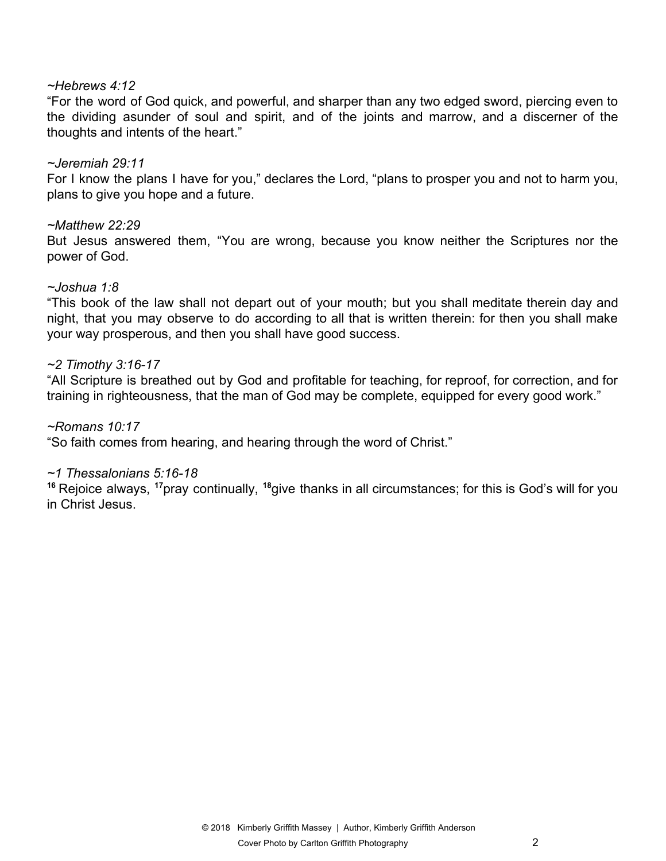### *~Hebrews 4:12*

"For the word of God quick, and powerful, and sharper than any two edged sword, piercing even to the dividing asunder of soul and spirit, and of the joints and marrow, and a discerner of the thoughts and intents of the heart."

# *~Jeremiah 29:11*

For I know the plans I have for you," declares the Lord, "plans to prosper you and not to harm you, plans to give you hope and a future.

# *~Matthew 22:29*

But Jesus answered them, "You are wrong, because you know neither the Scriptures nor the power of God.

### *~Joshua 1:8*

"This book of the law shall not depart out of your mouth; but you shall meditate therein day and night, that you may observe to do according to all that is written therein: for then you shall make your way prosperous, and then you shall have good success.

# *~2 Timothy 3:16-17*

"All Scripture is breathed out by God and profitable for teaching, for reproof, for correction, and for training in righteousness, that the man of God may be complete, equipped for every good work."

### *~Romans 10:17*

"So faith comes from hearing, and hearing through the word of Christ."

### *~1 Thessalonians 5:16-18*

**<sup>16</sup>** Rejoice always, **<sup>17</sup>**pray continually, **<sup>18</sup>**give thanks in all circumstances; for this is God's will for you in Christ Jesus.